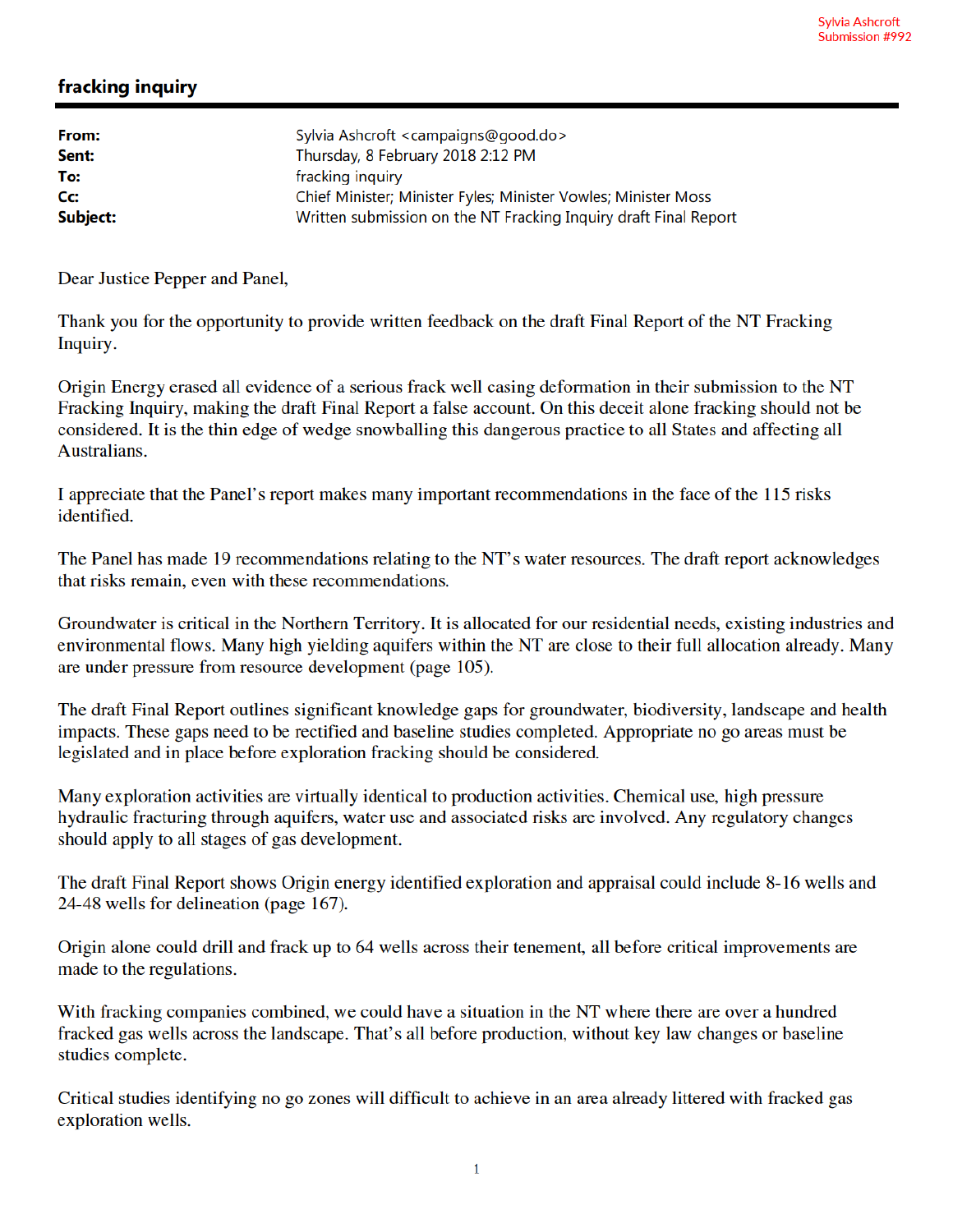## fracking inquiry

| From:            | Sylvia Ashcroft <campaigns@good.do></campaigns@good.do>          |
|------------------|------------------------------------------------------------------|
| Sent:            | Thursday, 8 February 2018 2:12 PM                                |
| To:              | fracking inquiry                                                 |
| $C_{\mathbf{C}}$ | Chief Minister; Minister Fyles; Minister Vowles; Minister Moss   |
| Subject:         | Written submission on the NT Fracking Inquiry draft Final Report |
|                  |                                                                  |

Dear Justice Pepper and Panel,

Thank you for the opportunity to provide written feedback on the draft Final Report of the NT Fracking Inquiry.

Origin Energy erased all evidence of a serious frack well casing deformation in their submission to the NT Fracking Inquiry, making the draft Final Report a false account. On this deceit alone fracking should not be considered. It is the thin edge of wedge snowballing this dangerous practice to all States and affecting all Australians.

I appreciate that the Panel's report makes many important recommendations in the face of the 115 risks identified.

The Panel has made 19 recommendations relating to the NT's water resources. The draft report acknowledges that risks remain, even with these recommendations.

Groundwater is critical in the Northern Territory. It is allocated for our residential needs, existing industries and environmental flows. Many high yielding aquifers within the NT are close to their full allocation already. Many are under pressure from resource development (page 105).

The draft Final Report outlines significant knowledge gaps for groundwater, biodiversity, landscape and health impacts. These gaps need to be rectified and baseline studies completed. Appropriate no go areas must be legislated and in place before exploration fracking should be considered.

Many exploration activities are virtually identical to production activities. Chemical use, high pressure hydraulic fracturing through aquifers, water use and associated risks are involved. Any regulatory changes should apply to all stages of gas development.

The draft Final Report shows Origin energy identified exploration and appraisal could include 8-16 wells and 24-48 wells for delineation (page 167).

Origin alone could drill and frack up to 64 wells across their tenement, all before critical improvements are made to the regulations.

With fracking companies combined, we could have a situation in the NT where there are over a hundred fracked gas wells across the landscape. That's all before production, without key law changes or baseline studies complete.

Critical studies identifying no go zones will difficult to achieve in an area already littered with fracked gas exploration wells.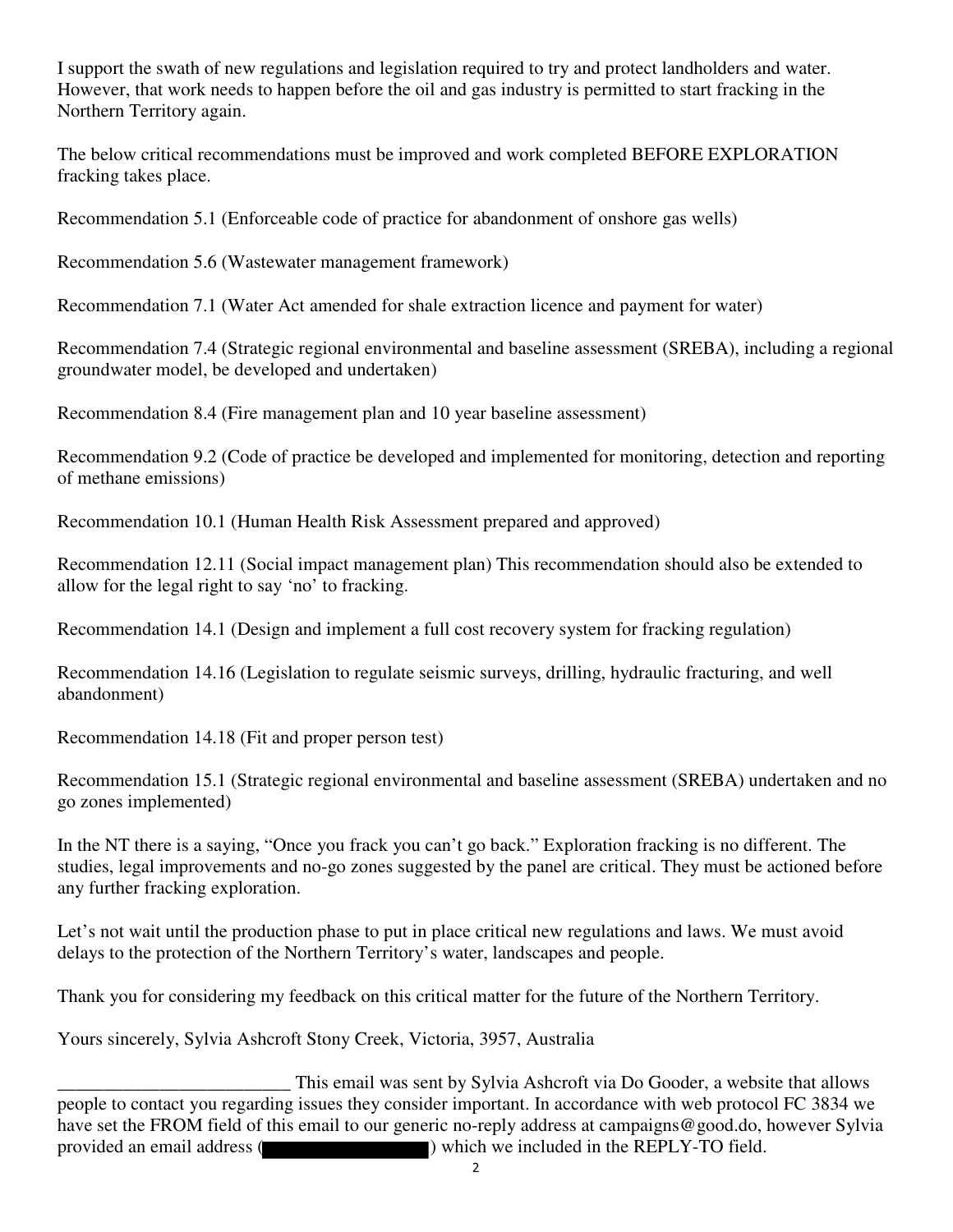I support the swath of new regulations and legislation required to try and protect landholders and water. However, that work needs to happen before the oil and gas industry is permitted to start fracking in the Northern Territory again.

The below critical recommendations must be improved and work completed BEFORE EXPLORATION fracking takes place.

Recommendation 5.1 (Enforceable code of practice for abandonment of onshore gas wells)

Recommendation 5.6 (Wastewater management framework)

Recommendation 7.1 (Water Act amended for shale extraction licence and payment for water)

Recommendation 7.4 (Strategic regional environmental and baseline assessment (SREBA), including a regional groundwater model, be developed and undertaken)

Recommendation 8.4 (Fire management plan and 10 year baseline assessment)

Recommendation 9.2 (Code of practice be developed and implemented for monitoring, detection and reporting of methane emissions)

Recommendation 10.1 (Human Health Risk Assessment prepared and approved)

Recommendation 12.11 (Social impact management plan) This recommendation should also be extended to allow for the legal right to say 'no' to fracking.

Recommendation 14.1 (Design and implement a full cost recovery system for fracking regulation)

Recommendation 14.16 (Legislation to regulate seismic surveys, drilling, hydraulic fracturing, and well abandonment)

Recommendation 14.18 (Fit and proper person test)

Recommendation 15.1 (Strategic regional environmental and baseline assessment (SREBA) undertaken and no go zones implemented)

In the NT there is a saying, "Once you frack you can't go back." Exploration fracking is no different. The studies, legal improvements and no-go zones suggested by the panel are critical. They must be actioned before any further fracking exploration.

Let's not wait until the production phase to put in place critical new regulations and laws. We must avoid delays to the protection of the Northern Territory's water, landscapes and people.

Thank you for considering my feedback on this critical matter for the future of the Northern Territory.

Yours sincerely, Sylvia Ashcroft Stony Creek, Victoria, 3957, Australia

This email was sent by Sylvia Ashcroft via Do Gooder, a website that allows<br>people to contact you regarding issues they consider important. In accordance with web protocol FC 3834 we have set the FROM field of this email to our generic no-reply address at campaigns@good.do, however Sylvia provided an email address ( ) which we included in the REPLY-TO field.